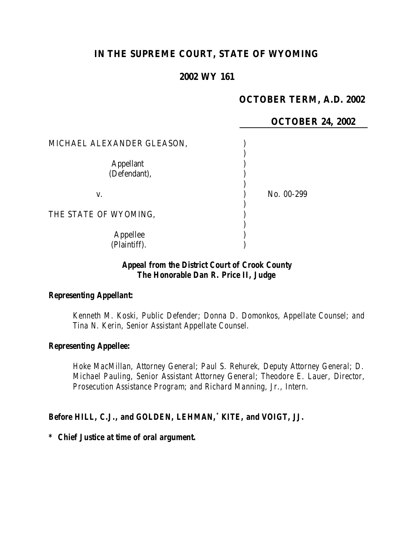# **IN THE SUPREME COURT, STATE OF WYOMING**

## **2002 WY 161**

## **OCTOBER TERM, A.D. 2002**

|                            | <b>OCTOBER 24, 2002</b> |
|----------------------------|-------------------------|
| MICHAEL ALEXANDER GLEASON, |                         |
| Appellant<br>(Defendant),  |                         |
| V.                         | No. 00-299              |
| THE STATE OF WYOMING,      |                         |
| Appellee<br>(Plaintiff).   |                         |

### *Appeal from the District Court of Crook County The Honorable Dan R. Price II, Judge*

#### *Representing Appellant:*

*Kenneth M. Koski, Public Defender; Donna D. Domonkos, Appellate Counsel; and Tina N. Kerin, Senior Assistant Appellate Counsel.*

#### *Representing Appellee:*

*Hoke MacMillan, Attorney General; Paul S. Rehurek, Deputy Attorney General; D. Michael Pauling, Senior Assistant Attorney General; Theodore E. Lauer, Director, Prosecution Assistance Program; and Richard Manning, Jr., Intern.*

#### *Before HILL, C.J., and GOLDEN, LEHMAN,\* KITE, and VOIGT, JJ.*

#### *\* Chief Justice at time of oral argument.*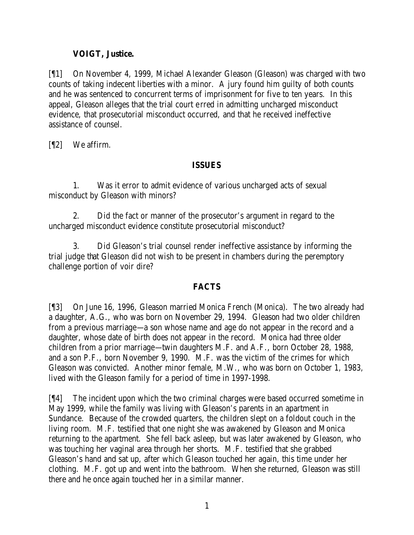### **VOIGT, Justice.**

[¶1] On November 4, 1999, Michael Alexander Gleason (Gleason) was charged with two counts of taking indecent liberties with a minor. A jury found him guilty of both counts and he was sentenced to concurrent terms of imprisonment for five to ten years. In this appeal, Gleason alleges that the trial court erred in admitting uncharged misconduct evidence, that prosecutorial misconduct occurred, and that he received ineffective assistance of counsel.

[¶2] We affirm.

### **ISSUES**

1. Was it error to admit evidence of various uncharged acts of sexual misconduct by Gleason with minors?

2. Did the fact or manner of the prosecutor's argument in regard to the uncharged misconduct evidence constitute prosecutorial misconduct?

3. Did Gleason's trial counsel render ineffective assistance by informing the trial judge that Gleason did not wish to be present in chambers during the peremptory challenge portion of voir dire?

## **FACTS**

[¶3] On June 16, 1996, Gleason married Monica French (Monica). The two already had a daughter, A.G., who was born on November 29, 1994. Gleason had two older children from a previous marriage—a son whose name and age do not appear in the record and a daughter, whose date of birth does not appear in the record. Monica had three older children from a prior marriage—twin daughters M.F. and A.F., born October 28, 1988, and a son P.F., born November 9, 1990. M.F. was the victim of the crimes for which Gleason was convicted. Another minor female, M.W., who was born on October 1, 1983, lived with the Gleason family for a period of time in 1997-1998.

[¶4] The incident upon which the two criminal charges were based occurred sometime in May 1999, while the family was living with Gleason's parents in an apartment in Sundance. Because of the crowded quarters, the children slept on a foldout couch in the living room. M.F. testified that one night she was awakened by Gleason and Monica returning to the apartment. She fell back asleep, but was later awakened by Gleason, who was touching her vaginal area through her shorts. M.F. testified that she grabbed Gleason's hand and sat up, after which Gleason touched her again, this time under her clothing. M.F. got up and went into the bathroom. When she returned, Gleason was still there and he once again touched her in a similar manner.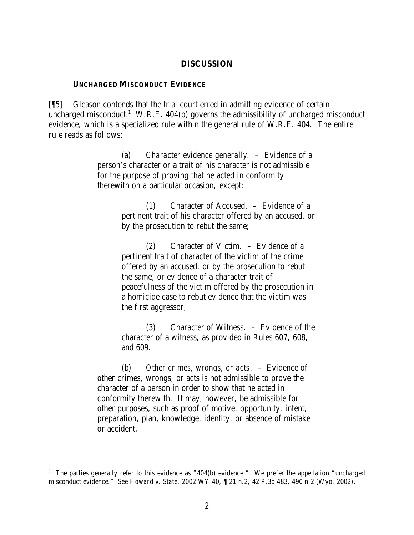#### **DISCUSSION**

#### **UNCHARGED MISCONDUCT EVIDENCE**

[¶5] Gleason contends that the trial court erred in admitting evidence of certain uncharged misconduct.<sup>1</sup> W.R.E. 404(b) governs the admissibility of uncharged misconduct evidence, which is a specialized rule within the general rule of W.R.E. 404. The entire rule reads as follows:

> (a) *Character evidence generally*. – Evidence of a person's character or a trait of his character is not admissible for the purpose of proving that he acted in conformity therewith on a particular occasion, except:

> > (1) Character of Accused. – Evidence of a pertinent trait of his character offered by an accused, or by the prosecution to rebut the same;

> > (2) Character of Victim. – Evidence of a pertinent trait of character of the victim of the crime offered by an accused, or by the prosecution to rebut the same, or evidence of a character trait of peacefulness of the victim offered by the prosecution in a homicide case to rebut evidence that the victim was the first aggressor;

> > (3) Character of Witness. – Evidence of the character of a witness, as provided in Rules 607, 608, and 609.

(b) *Other crimes, wrongs, or acts*. – Evidence of other crimes, wrongs, or acts is not admissible to prove the character of a person in order to show that he acted in conformity therewith. It may, however, be admissible for other purposes, such as proof of motive, opportunity, intent, preparation, plan, knowledge, identity, or absence of mistake or accident.

<sup>&</sup>lt;sup>1</sup> The parties generally refer to this evidence as "404(b) evidence." We prefer the appellation "uncharged misconduct evidence." *See Howard v. State*, 2002 WY 40, ¶ 21 n.2, 42 P.3d 483, 490 n.2 (Wyo. 2002).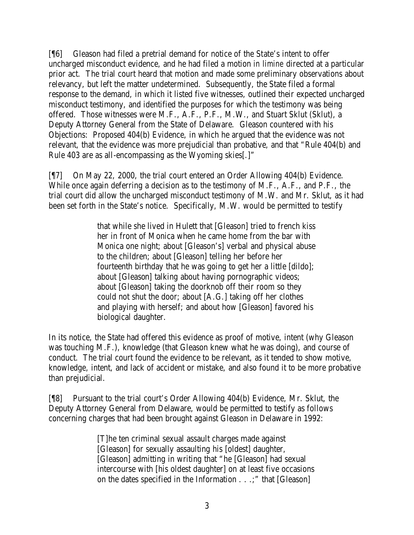[¶6] Gleason had filed a pretrial demand for notice of the State's intent to offer uncharged misconduct evidence, and he had filed a motion *in limine* directed at a particular prior act. The trial court heard that motion and made some preliminary observations about relevancy, but left the matter undetermined. Subsequently, the State filed a formal response to the demand, in which it listed five witnesses, outlined their expected uncharged misconduct testimony, and identified the purposes for which the testimony was being offered. Those witnesses were M.F., A.F., P.F., M.W., and Stuart Sklut (Sklut), a Deputy Attorney General from the State of Delaware. Gleason countered with his Objections: Proposed 404(b) Evidence, in which he argued that the evidence was not relevant, that the evidence was more prejudicial than probative, and that "Rule 404(b) and Rule 403 are as all-encompassing as the Wyoming skies[.]"

[¶7] On May 22, 2000, the trial court entered an Order Allowing 404(b) Evidence. While once again deferring a decision as to the testimony of M.F., A.F., and P.F., the trial court did allow the uncharged misconduct testimony of M.W. and Mr. Sklut, as it had been set forth in the State's notice. Specifically, M.W. would be permitted to testify

> that while she lived in Hulett that [Gleason] tried to french kiss her in front of Monica when he came home from the bar with Monica one night; about [Gleason's] verbal and physical abuse to the children; about [Gleason] telling her before her fourteenth birthday that he was going to get her a little [dildo]; about [Gleason] talking about having pornographic videos; about [Gleason] taking the doorknob off their room so they could not shut the door; about [A.G.] taking off her clothes and playing with herself; and about how [Gleason] favored his biological daughter.

In its notice, the State had offered this evidence as proof of motive, intent (why Gleason was touching M.F.), knowledge (that Gleason knew what he was doing), and course of conduct. The trial court found the evidence to be relevant, as it tended to show motive, knowledge, intent, and lack of accident or mistake, and also found it to be more probative than prejudicial.

[¶8] Pursuant to the trial court's Order Allowing 404(b) Evidence, Mr. Sklut, the Deputy Attorney General from Delaware, would be permitted to testify as follows concerning charges that had been brought against Gleason in Delaware in 1992:

> [T]he ten criminal sexual assault charges made against [Gleason] for sexually assaulting his [oldest] daughter, [Gleason] admitting in writing that "he [Gleason] had sexual intercourse with [his oldest daughter] on at least five occasions on the dates specified in the Information . . .;" that [Gleason]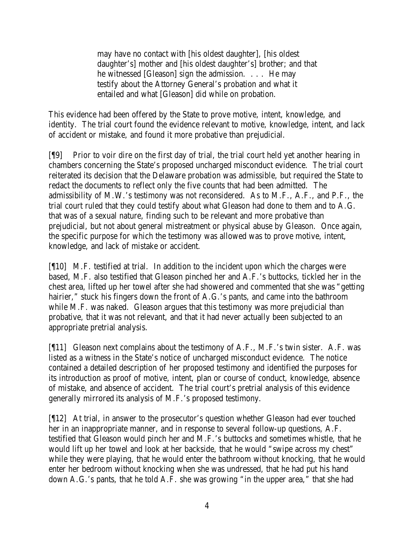may have no contact with [his oldest daughter], [his oldest daughter's] mother and [his oldest daughter's] brother; and that he witnessed [Gleason] sign the admission. . . . He may testify about the Attorney General's probation and what it entailed and what [Gleason] did while on probation.

This evidence had been offered by the State to prove motive, intent, knowledge, and identity. The trial court found the evidence relevant to motive, knowledge, intent, and lack of accident or mistake, and found it more probative than prejudicial.

[¶9] Prior to voir dire on the first day of trial, the trial court held yet another hearing in chambers concerning the State's proposed uncharged misconduct evidence. The trial court reiterated its decision that the Delaware probation was admissible, but required the State to redact the documents to reflect only the five counts that had been admitted. The admissibility of M.W.'s testimony was not reconsidered. As to M.F., A.F., and P.F., the trial court ruled that they could testify about what Gleason had done to them and to A.G. that was of a sexual nature, finding such to be relevant and more probative than prejudicial, but not about general mistreatment or physical abuse by Gleason. Once again, the specific purpose for which the testimony was allowed was to prove motive, intent, knowledge, and lack of mistake or accident.

[¶10] M.F. testified at trial. In addition to the incident upon which the charges were based, M.F. also testified that Gleason pinched her and A.F.'s buttocks, tickled her in the chest area, lifted up her towel after she had showered and commented that she was "getting hairier," stuck his fingers down the front of A.G.'s pants, and came into the bathroom while M.F. was naked. Gleason argues that this testimony was more prejudicial than probative, that it was not relevant, and that it had never actually been subjected to an appropriate pretrial analysis.

 $[$ [[11] Gleason next complains about the testimony of A.F., M.F.'s twin sister. A.F. was listed as a witness in the State's notice of uncharged misconduct evidence. The notice contained a detailed description of her proposed testimony and identified the purposes for its introduction as proof of motive, intent, plan or course of conduct, knowledge, absence of mistake, and absence of accident. The trial court's pretrial analysis of this evidence generally mirrored its analysis of M.F.'s proposed testimony.

[¶12] At trial, in answer to the prosecutor's question whether Gleason had ever touched her in an inappropriate manner, and in response to several follow-up questions, A.F. testified that Gleason would pinch her and M.F.'s buttocks and sometimes whistle, that he would lift up her towel and look at her backside, that he would "swipe across my chest" while they were playing, that he would enter the bathroom without knocking, that he would enter her bedroom without knocking when she was undressed, that he had put his hand down A.G.'s pants, that he told A.F. she was growing "in the upper area," that she had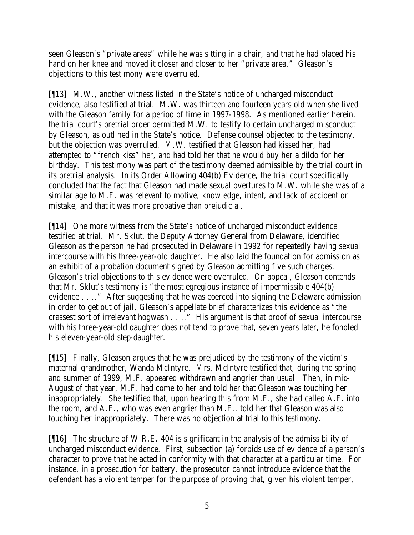seen Gleason's "private areas" while he was sitting in a chair, and that he had placed his hand on her knee and moved it closer and closer to her "private area." Gleason's objections to this testimony were overruled.

[¶13] M.W., another witness listed in the State's notice of uncharged misconduct evidence, also testified at trial. M.W. was thirteen and fourteen years old when she lived with the Gleason family for a period of time in 1997-1998. As mentioned earlier herein, the trial court's pretrial order permitted M.W. to testify to certain uncharged misconduct by Gleason, as outlined in the State's notice. Defense counsel objected to the testimony, but the objection was overruled. M.W. testified that Gleason had kissed her, had attempted to "french kiss" her, and had told her that he would buy her a dildo for her birthday. This testimony was part of the testimony deemed admissible by the trial court in its pretrial analysis. In its Order Allowing 404(b) Evidence, the trial court specifically concluded that the fact that Gleason had made sexual overtures to M.W. while she was of a similar age to M.F. was relevant to motive, knowledge, intent, and lack of accident or mistake, and that it was more probative than prejudicial.

[¶14] One more witness from the State's notice of uncharged misconduct evidence testified at trial. Mr. Sklut, the Deputy Attorney General from Delaware, identified Gleason as the person he had prosecuted in Delaware in 1992 for repeatedly having sexual intercourse with his three-year-old daughter. He also laid the foundation for admission as an exhibit of a probation document signed by Gleason admitting five such charges. Gleason's trial objections to this evidence were overruled. On appeal, Gleason contends that Mr. Sklut's testimony is "the most egregious instance of impermissible 404(b) evidence . . .." After suggesting that he was coerced into signing the Delaware admission in order to get out of jail, Gleason's appellate brief characterizes this evidence as "the crassest sort of irrelevant hogwash . . .." His argument is that proof of sexual intercourse with his three-year-old daughter does not tend to prove that, seven years later, he fondled his eleven-year-old step-daughter.

[¶15] Finally, Gleason argues that he was prejudiced by the testimony of the victim's maternal grandmother, Wanda McIntyre. Mrs. McIntyre testified that, during the spring and summer of 1999, M.F. appeared withdrawn and angrier than usual. Then, in mid-August of that year, M.F. had come to her and told her that Gleason was touching her inappropriately. She testified that, upon hearing this from M.F., she had called A.F. into the room, and A.F., who was even angrier than M.F., told her that Gleason was also touching her inappropriately. There was no objection at trial to this testimony.

[¶16] The structure of W.R.E. 404 is significant in the analysis of the admissibility of uncharged misconduct evidence. First, subsection (a) forbids use of evidence of a person's character to prove that he acted in conformity with that character at a particular time. For instance, in a prosecution for battery, the prosecutor cannot introduce evidence that the defendant has a violent temper for the purpose of proving that, given his violent temper,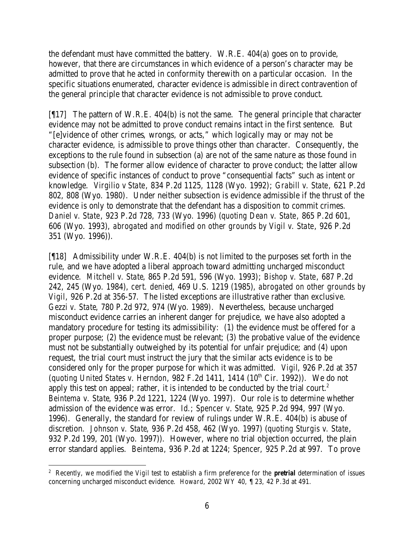the defendant must have committed the battery. W.R.E. 404(a) goes on to provide, however, that there are circumstances in which evidence of a person's character may be admitted to prove that he acted in conformity therewith on a particular occasion. In the specific situations enumerated, character evidence is admissible in direct contravention of the general principle that character evidence is not admissible to prove conduct.

 $[17]$  The pattern of W.R.E. 404(b) is not the same. The general principle that character evidence may not be admitted to prove conduct remains intact in the first sentence. But "[e]vidence of other crimes, wrongs, or acts," which logically may or may not be character evidence, is admissible to prove things other than character. Consequently, the exceptions to the rule found in subsection (a) are not of the same nature as those found in subsection (b). The former allow evidence of character to prove conduct; the latter allow evidence of specific instances of conduct to prove "consequential facts" such as intent or knowledge. *Virgilio v State*, 834 P.2d 1125, 1128 (Wyo. 1992); *Grabill v. State*, 621 P.2d 802, 808 (Wyo. 1980). Under neither subsection is evidence admissible if the thrust of the evidence is only to demonstrate that the defendant has a disposition to commit crimes. *Daniel v. State*, 923 P.2d 728, 733 (Wyo. 1996) (*quoting Dean v. State*, 865 P.2d 601, 606 (Wyo. 1993), *abrogated and modified on other grounds by Vigil v. State*, 926 P.2d 351 (Wyo. 1996)).

[¶18] Admissibility under W.R.E. 404(b) is not limited to the purposes set forth in the rule, and we have adopted a liberal approach toward admitting uncharged misconduct evidence. *Mitchell v. State*, 865 P.2d 591, 596 (Wyo. 1993); *Bishop v. State*, 687 P.2d 242, 245 (Wyo. 1984), *cert. denied*, 469 U.S. 1219 (1985), *abrogated on other grounds by Vigil*, 926 P.2d at 356-57. The listed exceptions are illustrative rather than exclusive. *Gezzi v. State*, 780 P.2d 972, 974 (Wyo. 1989). Nevertheless, because uncharged misconduct evidence carries an inherent danger for prejudice, we have also adopted a mandatory procedure for testing its admissibility: (1) the evidence must be offered for a proper purpose; (2) the evidence must be relevant; (3) the probative value of the evidence must not be substantially outweighed by its potential for unfair prejudice; and (4) upon request, the trial court must instruct the jury that the similar acts evidence is to be considered only for the proper purpose for which it was admitted. *Vigil*, 926 P.2d at 357 (*quoting United States v. Herndon*, 982 F.2d 1411, 1414 (10<sup>th</sup> Cir. 1992)). We do not apply this test on appeal; rather, it is intended to be conducted by the trial court.<sup>2</sup> *Beintema v. State*, 936 P.2d 1221, 1224 (Wyo. 1997). Our role is to determine whether admission of the evidence was error. *Id.*; *Spencer v. State*, 925 P.2d 994, 997 (Wyo. 1996). Generally, the standard for review of rulings under W.R.E. 404(b) is abuse of discretion. *Johnson v. State*, 936 P.2d 458, 462 (Wyo. 1997) (*quoting Sturgis v. State*, 932 P.2d 199, 201 (Wyo. 1997)). However, where no trial objection occurred, the plain error standard applies. *Beintema*, 936 P.2d at 1224; *Spencer*, 925 P.2d at 997. To prove

<sup>2</sup> Recently, we modified the *Vigil* test to establish a firm preference for the *pretrial* determination of issues concerning uncharged misconduct evidence. *Howard*, 2002 WY 40, ¶ 23, 42 P.3d at 491.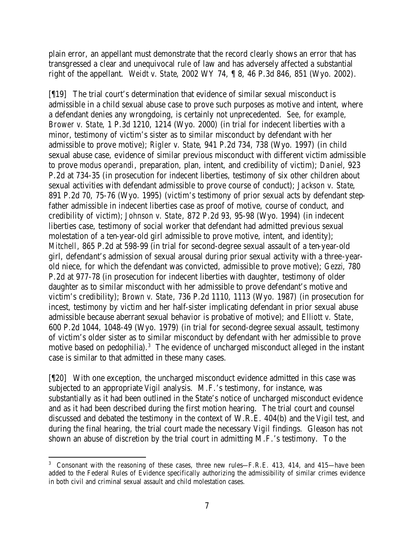plain error, an appellant must demonstrate that the record clearly shows an error that has transgressed a clear and unequivocal rule of law and has adversely affected a substantial right of the appellant. *Weidt v. State*, 2002 WY 74, ¶ 8, 46 P.3d 846, 851 (Wyo. 2002).

[¶19] The trial court's determination that evidence of similar sexual misconduct is admissible in a child sexual abuse case to prove such purposes as motive and intent, where a defendant denies any wrongdoing, is certainly not unprecedented. *See, for example, Brower v. State*, 1 P.3d 1210, 1214 (Wyo. 2000) (in trial for indecent liberties with a minor, testimony of victim's sister as to similar misconduct by defendant with her admissible to prove motive); *Rigler v. State*, 941 P.2d 734, 738 (Wyo. 1997) (in child sexual abuse case, evidence of similar previous misconduct with different victim admissible to prove *modus operandi*, preparation, plan, intent, and credibility of victim); *Daniel*, 923 P.2d at 734-35 (in prosecution for indecent liberties, testimony of six other children about sexual activities with defendant admissible to prove course of conduct); *Jackson v. State*, 891 P.2d 70, 75-76 (Wyo. 1995) (victim's testimony of prior sexual acts by defendant stepfather admissible in indecent liberties case as proof of motive, course of conduct, and credibility of victim); *Johnson v. State*, 872 P.2d 93, 95-98 (Wyo. 1994) (in indecent liberties case, testimony of social worker that defendant had admitted previous sexual molestation of a ten-year-old girl admissible to prove motive, intent, and identity); *Mitchell*, 865 P.2d at 598-99 (in trial for second-degree sexual assault of a ten-year-old girl, defendant's admission of sexual arousal during prior sexual activity with a three-yearold niece, for which the defendant was convicted, admissible to prove motive); *Gezzi*, 780 P.2d at 977-78 (in prosecution for indecent liberties with daughter, testimony of older daughter as to similar misconduct with her admissible to prove defendant's motive and victim's credibility); *Brown v. State*, 736 P.2d 1110, 1113 (Wyo. 1987) (in prosecution for incest, testimony by victim and her half-sister implicating defendant in prior sexual abuse admissible because aberrant sexual behavior is probative of motive); and *Elliott v. State*, 600 P.2d 1044, 1048-49 (Wyo. 1979) (in trial for second-degree sexual assault, testimony of victim's older sister as to similar misconduct by defendant with her admissible to prove motive based on pedophilia).<sup>3</sup> The evidence of uncharged misconduct alleged in the instant case is similar to that admitted in these many cases.

[¶20] With one exception, the uncharged misconduct evidence admitted in this case was subjected to an appropriate *Vigil* analysis. M.F.'s testimony, for instance, was substantially as it had been outlined in the State's notice of uncharged misconduct evidence and as it had been described during the first motion hearing. The trial court and counsel discussed and debated the testimony in the context of W.R.E. 404(b) and the *Vigil* test, and during the final hearing, the trial court made the necessary *Vigil* findings. Gleason has not shown an abuse of discretion by the trial court in admitting M.F.'s testimony. To the

 <sup>3</sup> Consonant with the reasoning of these cases, three new rules—F.R.E. 413, 414, and 415—have been added to the Federal Rules of Evidence specifically authorizing the admissibility of similar crimes evidence in both civil and criminal sexual assault and child molestation cases.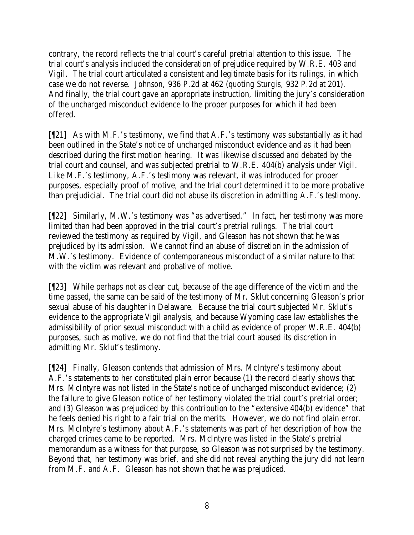contrary, the record reflects the trial court's careful pretrial attention to this issue. The trial court's analysis included the consideration of prejudice required by W.R.E. 403 and *Vigil*. The trial court articulated a consistent and legitimate basis for its rulings, in which case we do not reverse. *Johnson*, 936 P.2d at 462 (*quoting Sturgis*, 932 P.2d at 201). And finally, the trial court gave an appropriate instruction, limiting the jury's consideration of the uncharged misconduct evidence to the proper purposes for which it had been offered.

[¶21] As with M.F.'s testimony, we find that A.F.'s testimony was substantially as it had been outlined in the State's notice of uncharged misconduct evidence and as it had been described during the first motion hearing. It was likewise discussed and debated by the trial court and counsel, and was subjected pretrial to W.R.E. 404(b) analysis under *Vigil*. Like M.F.'s testimony, A.F.'s testimony was relevant, it was introduced for proper purposes, especially proof of motive, and the trial court determined it to be more probative than prejudicial. The trial court did not abuse its discretion in admitting A.F.'s testimony.

[¶22] Similarly, M.W.'s testimony was "as advertised." In fact, her testimony was more limited than had been approved in the trial court's pretrial rulings. The trial court reviewed the testimony as required by *Vigil*, and Gleason has not shown that he was prejudiced by its admission. We cannot find an abuse of discretion in the admission of M.W.'s testimony. Evidence of contemporaneous misconduct of a similar nature to that with the victim was relevant and probative of motive.

[¶23] While perhaps not as clear cut, because of the age difference of the victim and the time passed, the same can be said of the testimony of Mr. Sklut concerning Gleason's prior sexual abuse of his daughter in Delaware. Because the trial court subjected Mr. Sklut's evidence to the appropriate *Vigil* analysis, and because Wyoming case law establishes the admissibility of prior sexual misconduct with a child as evidence of proper W.R.E. 404(b) purposes, such as motive, we do not find that the trial court abused its discretion in admitting Mr. Sklut's testimony.

[¶24] Finally, Gleason contends that admission of Mrs. McIntyre's testimony about A.F.'s statements to her constituted plain error because (1) the record clearly shows that Mrs. McIntyre was not listed in the State's notice of uncharged misconduct evidence; (2) the failure to give Gleason notice of her testimony violated the trial court's pretrial order; and (3) Gleason was prejudiced by this contribution to the "extensive 404(b) evidence" that he feels denied his right to a fair trial on the merits. However, we do not find plain error. Mrs. McIntyre's testimony about A.F.'s statements was part of her description of how the charged crimes came to be reported. Mrs. McIntyre was listed in the State's pretrial memorandum as a witness for that purpose, so Gleason was not surprised by the testimony. Beyond that, her testimony was brief, and she did not reveal anything the jury did not learn from M.F. and A.F. Gleason has not shown that he was prejudiced.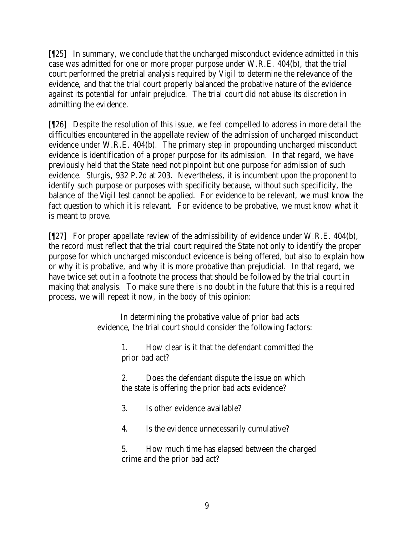[¶25] In summary, we conclude that the uncharged misconduct evidence admitted in this case was admitted for one or more proper purpose under W.R.E. 404(b), that the trial court performed the pretrial analysis required by *Vigil* to determine the relevance of the evidence, and that the trial court properly balanced the probative nature of the evidence against its potential for unfair prejudice. The trial court did not abuse its discretion in admitting the evidence.

[¶26] Despite the resolution of this issue, we feel compelled to address in more detail the difficulties encountered in the appellate review of the admission of uncharged misconduct evidence under W.R.E. 404(b). The primary step in propounding uncharged misconduct evidence is identification of a proper purpose for its admission. In that regard, we have previously held that the State need not pinpoint but one purpose for admission of such evidence. *Sturgis*, 932 P.2d at 203. Nevertheless, it is incumbent upon the proponent to identify such purpose or purposes with specificity because, without such specificity, the balance of the *Vigil* test cannot be applied. For evidence to be relevant, we must know the fact question to which it is relevant. For evidence to be probative, we must know what it is meant to prove.

[¶27] For proper appellate review of the admissibility of evidence under W.R.E. 404(b), the record must reflect that the trial court required the State not only to identify the proper purpose for which uncharged misconduct evidence is being offered, but also to explain how or why it is probative, and why it is more probative than prejudicial. In that regard, we have twice set out in a footnote the process that should be followed by the trial court in making that analysis. To make sure there is no doubt in the future that this is a required process, we will repeat it now, in the body of this opinion:

> In determining the probative value of prior bad acts evidence, the trial court should consider the following factors:

> > 1. How clear is it that the defendant committed the prior bad act?

2. Does the defendant dispute the issue on which the state is offering the prior bad acts evidence?

3. Is other evidence available?

4. Is the evidence unnecessarily cumulative?

5. How much time has elapsed between the charged crime and the prior bad act?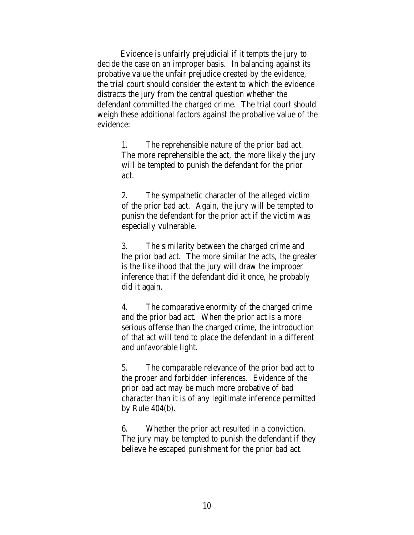Evidence is unfairly prejudicial if it tempts the jury to decide the case on an improper basis. In balancing against its probative value the unfair prejudice created by the evidence, the trial court should consider the extent to which the evidence distracts the jury from the central question whether the defendant committed the charged crime. The trial court should weigh these additional factors against the probative value of the evidence:

> 1. The reprehensible nature of the prior bad act. The more reprehensible the act, the more likely the jury will be tempted to punish the defendant for the prior act.

> 2. The sympathetic character of the alleged victim of the prior bad act. Again, the jury will be tempted to punish the defendant for the prior act if the victim was especially vulnerable.

3. The similarity between the charged crime and the prior bad act. The more similar the acts, the greater is the likelihood that the jury will draw the improper inference that if the defendant did it once, he probably did it again.

4. The comparative enormity of the charged crime and the prior bad act. When the prior act is a more serious offense than the charged crime, the introduction of that act will tend to place the defendant in a different and unfavorable light.

5. The comparable relevance of the prior bad act to the proper and forbidden inferences. Evidence of the prior bad act may be much more probative of bad character than it is of any legitimate inference permitted by Rule 404(b).

6. Whether the prior act resulted in a conviction. The jury may be tempted to punish the defendant if they believe he escaped punishment for the prior bad act.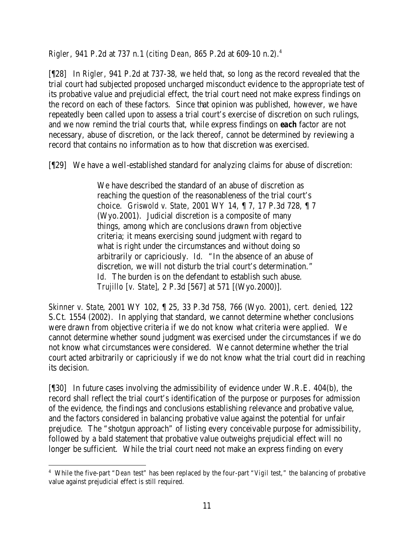*Rigler*, 941 P.2d at 737 n.1 (*citing Dean*, 865 P.2d at 609-10 n.2).<sup>4</sup>

[¶28] In *Rigler*, 941 P.2d at 737-38, we held that, so long as the record revealed that the trial court had subjected proposed uncharged misconduct evidence to the appropriate test of its probative value and prejudicial effect, the trial court need not make express findings on the record on each of these factors. Since that opinion was published, however, we have repeatedly been called upon to assess a trial court's exercise of discretion on such rulings, and we now remind the trial courts that, while express findings on *each* factor are not necessary, abuse of discretion, or the lack thereof, cannot be determined by reviewing a record that contains no information as to how that discretion was exercised.

[¶29] We have a well-established standard for analyzing claims for abuse of discretion:

We have described the standard of an abuse of discretion as reaching the question of the reasonableness of the trial court's choice. *Griswold v. State*, 2001 WY 14, ¶ 7, 17 P.3d 728, ¶ 7 (Wyo.2001). Judicial discretion is a composite of many things, among which are conclusions drawn from objective criteria; it means exercising sound judgment with regard to what is right under the circumstances and without doing so arbitrarily or capriciously. *Id.* "In the absence of an abuse of discretion, we will not disturb the trial court's determination." *Id.* The burden is on the defendant to establish such abuse. *Trujillo [v. State]*, 2 P.3d [567] at 571 [(Wyo.2000)].

*Skinner v. State*, 2001 WY 102, ¶ 25, 33 P.3d 758, 766 (Wyo. 2001), *cert. denied*, 122 S.Ct. 1554 (2002). In applying that standard, we cannot determine whether conclusions were drawn from objective criteria if we do not know what criteria were applied. We cannot determine whether sound judgment was exercised under the circumstances if we do not know what circumstances were considered. We cannot determine whether the trial court acted arbitrarily or capriciously if we do not know what the trial court did in reaching its decision.

[¶30] In future cases involving the admissibility of evidence under W.R.E. 404(b), the record shall reflect the trial court's identification of the purpose or purposes for admission of the evidence, the findings and conclusions establishing relevance and probative value, and the factors considered in balancing probative value against the potential for unfair prejudice. The "shotgun approach" of listing every conceivable purpose for admissibility, followed by a bald statement that probative value outweighs prejudicial effect will no longer be sufficient. While the trial court need not make an express finding on every

 4 While the five-part "*Dean* test" has been replaced by the four-part "*Vigil* test," the balancing of probative value against prejudicial effect is still required.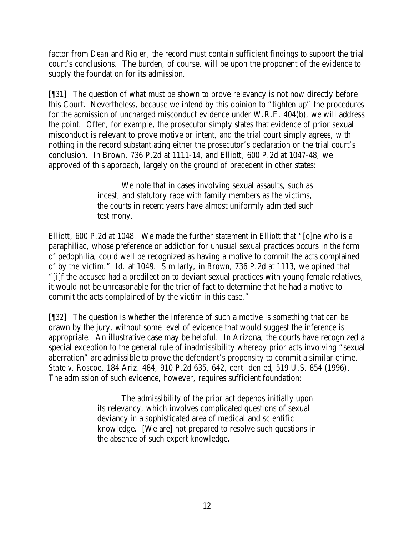factor from *Dean* and *Rigler*, the record must contain sufficient findings to support the trial court's conclusions. The burden, of course, will be upon the proponent of the evidence to supply the foundation for its admission.

[¶31] The question of what must be shown to prove relevancy is not now directly before this Court. Nevertheless, because we intend by this opinion to "tighten up" the procedures for the admission of uncharged misconduct evidence under W.R.E. 404(b), we will address the point. Often, for example, the prosecutor simply states that evidence of prior sexual misconduct is relevant to prove motive or intent, and the trial court simply agrees, with nothing in the record substantiating either the prosecutor's declaration or the trial court's conclusion. In *Brown*, 736 P.2d at 1111-14, and *Elliott*, 600 P.2d at 1047-48, we approved of this approach, largely on the ground of precedent in other states:

> We note that in cases involving sexual assaults, such as incest, and statutory rape with family members as the victims, the courts in recent years have almost uniformly admitted such testimony.

*Elliott*, 600 P.2d at 1048. We made the further statement in *Elliott* that "[o]ne who is a paraphiliac, whose preference or addiction for unusual sexual practices occurs in the form of pedophilia, could well be recognized as having a motive to commit the acts complained of by the victim." *Id.* at 1049. Similarly, in *Brown*, 736 P.2d at 1113, we opined that "[i]f the accused had a predilection to deviant sexual practices with young female relatives, it would not be unreasonable for the trier of fact to determine that he had a motive to commit the acts complained of by the victim in this case."

[¶32] The question is whether the inference of such a motive is something that can be drawn by the jury, without some level of evidence that would suggest the inference is appropriate. An illustrative case may be helpful. In Arizona, the courts have recognized a special exception to the general rule of inadmissibility whereby prior acts involving "sexual aberration" are admissible to prove the defendant's propensity to commit a similar crime. *State v. Roscoe*, 184 Ariz. 484, 910 P.2d 635, 642, *cert. denied*, 519 U.S. 854 (1996). The admission of such evidence, however, requires sufficient foundation:

> The admissibility of the prior act depends initially upon its relevancy, which involves complicated questions of sexual deviancy in a sophisticated area of medical and scientific knowledge. [We are] not prepared to resolve such questions in the absence of such expert knowledge.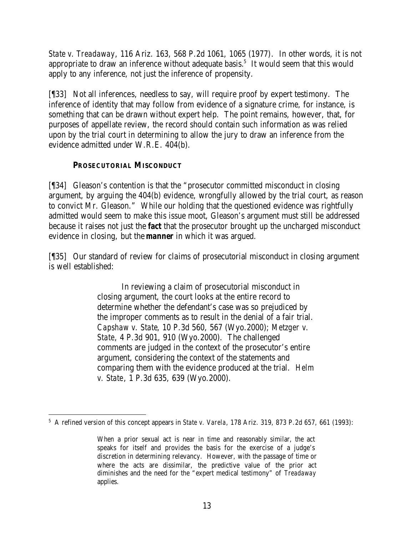*State v. Treadaway*, 116 Ariz. 163, 568 P.2d 1061, 1065 (1977). In other words, it is not appropriate to draw an inference without adequate basis.<sup>5</sup> It would seem that this would apply to any inference, not just the inference of propensity.

[¶33] Not all inferences, needless to say, will require proof by expert testimony. The inference of identity that may follow from evidence of a signature crime, for instance, is something that can be drawn without expert help. The point remains, however, that, for purposes of appellate review, the record should contain such information as was relied upon by the trial court in determining to allow the jury to draw an inference from the evidence admitted under W.R.E. 404(b).

#### **PROSECUTORIAL MISCONDUCT**

[¶34] Gleason's contention is that the "prosecutor committed misconduct in closing argument, by arguing the 404(b) evidence, wrongfully allowed by the trial court, as reason to convict Mr. Gleason." While our holding that the questioned evidence was rightfully admitted would seem to make this issue moot, Gleason's argument must still be addressed because it raises not just the *fact* that the prosecutor brought up the uncharged misconduct evidence in closing, but the *manner* in which it was argued.

[¶35] Our standard of review for claims of prosecutorial misconduct in closing argument is well established:

> In reviewing a claim of prosecutorial misconduct in closing argument, the court looks at the entire record to determine whether the defendant's case was so prejudiced by the improper comments as to result in the denial of a fair trial. *Capshaw v. State*, 10 P.3d 560, 567 (Wyo.2000); *Metzger v. State*, 4 P.3d 901, 910 (Wyo.2000). The challenged comments are judged in the context of the prosecutor's entire argument, considering the context of the statements and comparing them with the evidence produced at the trial. *Helm v. State*, 1 P.3d 635, 639 (Wyo.2000).

 5 A refined version of this concept appears in *State v. Varela*, 178 Ariz. 319, 873 P.2d 657, 661 (1993):

When a prior sexual act is near in time and reasonably similar, the act speaks for itself and provides the basis for the exercise of a judge's discretion in determining relevancy. However, with the passage of time or where the acts are dissimilar, the predictive value of the prior act diminishes and the need for the "expert medical testimony" of *Treadaway* applies.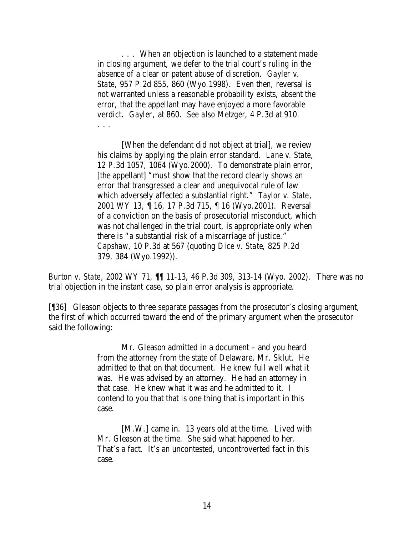. . . When an objection is launched to a statement made in closing argument, we defer to the trial court's ruling in the absence of a clear or patent abuse of discretion. *Gayler v. State*, 957 P.2d 855, 860 (Wyo.1998). Even then, reversal is not warranted unless a reasonable probability exists, absent the error, that the appellant may have enjoyed a more favorable verdict. *Gayler*, at 860. *See also Metzger*, 4 P.3d at 910. . . .

[When the defendant did not object at trial], we review his claims by applying the plain error standard. *Lane v. State*, 12 P.3d 1057, 1064 (Wyo.2000). To demonstrate plain error, [the appellant] "must show that the record clearly shows an error that transgressed a clear and unequivocal rule of law which adversely affected a substantial right." *Taylor v. State*, 2001 WY 13, ¶ 16, 17 P.3d 715, ¶ 16 (Wyo.2001). Reversal of a conviction on the basis of prosecutorial misconduct, which was not challenged in the trial court, is appropriate only when there is "a substantial risk of a miscarriage of justice." *Capshaw*, 10 P.3d at 567 (quoting *Dice v. State*, 825 P.2d 379, 384 (Wyo.1992)).

*Burton v. State*, 2002 WY 71, ¶¶ 11-13, 46 P.3d 309, 313-14 (Wyo. 2002). There was no trial objection in the instant case, so plain error analysis is appropriate.

[¶36] Gleason objects to three separate passages from the prosecutor's closing argument, the first of which occurred toward the end of the primary argument when the prosecutor said the following:

> Mr. Gleason admitted in a document – and you heard from the attorney from the state of Delaware, Mr. Sklut. He admitted to that on that document. He knew full well what it was. He was advised by an attorney. He had an attorney in that case. He knew what it was and he admitted to it. I contend to you that that is one thing that is important in this case.

[M.W.] came in. 13 years old at the time. Lived with Mr. Gleason at the time. She said what happened to her. That's a fact. It's an uncontested, uncontroverted fact in this case.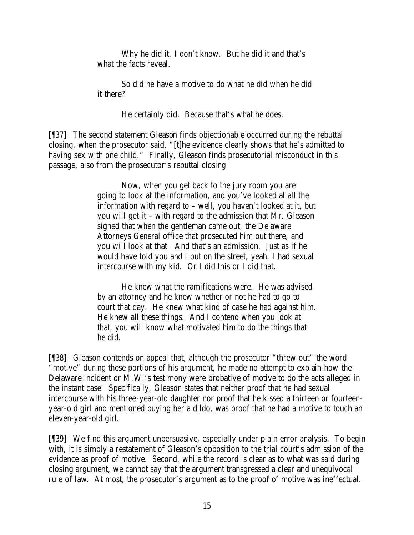Why he did it, I don't know. But he did it and that's what the facts reveal.

So did he have a motive to do what he did when he did it there?

He certainly did. Because that's what he does.

[¶37] The second statement Gleason finds objectionable occurred during the rebuttal closing, when the prosecutor said, "[t]he evidence clearly shows that he's admitted to having sex with one child." Finally, Gleason finds prosecutorial misconduct in this passage, also from the prosecutor's rebuttal closing:

> Now, when you get back to the jury room you are going to look at the information, and you've looked at all the information with regard to – well, you haven't looked at it, but you will get it – with regard to the admission that Mr. Gleason signed that when the gentleman came out, the Delaware Attorneys General office that prosecuted him out there, and you will look at that. And that's an admission. Just as if he would have told you and I out on the street, yeah, I had sexual intercourse with my kid. Or I did this or I did that.

> He knew what the ramifications were. He was advised by an attorney and he knew whether or not he had to go to court that day. He knew what kind of case he had against him. He knew all these things. And I contend when you look at that, you will know what motivated him to do the things that he did.

[¶38] Gleason contends on appeal that, although the prosecutor "threw out" the word "motive" during these portions of his argument, he made no attempt to explain how the Delaware incident or M.W.'s testimony were probative of motive to do the acts alleged in the instant case. Specifically, Gleason states that neither proof that he had sexual intercourse with his three-year-old daughter nor proof that he kissed a thirteen or fourteenyear-old girl and mentioned buying her a dildo, was proof that he had a motive to touch an eleven-year-old girl.

[¶39] We find this argument unpersuasive, especially under plain error analysis. To begin with, it is simply a restatement of Gleason's opposition to the trial court's admission of the evidence as proof of motive. Second, while the record is clear as to what was said during closing argument, we cannot say that the argument transgressed a clear and unequivocal rule of law. At most, the prosecutor's argument as to the proof of motive was ineffectual.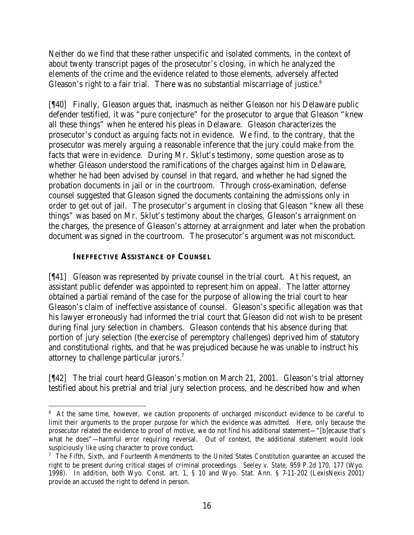Neither do we find that these rather unspecific and isolated comments, in the context of about twenty transcript pages of the prosecutor's closing, in which he analyzed the elements of the crime and the evidence related to those elements, adversely affected Gleason's right to a fair trial. There was no substantial miscarriage of justice. $6$ 

[¶40] Finally, Gleason argues that, inasmuch as neither Gleason nor his Delaware public defender testified, it was "pure conjecture" for the prosecutor to argue that Gleason "knew all these things" when he entered his pleas in Delaware. Gleason characterizes the prosecutor's conduct as arguing facts not in evidence. We find, to the contrary, that the prosecutor was merely arguing a reasonable inference that the jury could make from the facts that were in evidence. During Mr. Sklut's testimony, some question arose as to whether Gleason understood the ramifications of the charges against him in Delaware, whether he had been advised by counsel in that regard, and whether he had signed the probation documents in jail or in the courtroom. Through cross-examination, defense counsel suggested that Gleason signed the documents containing the admissions only in order to get out of jail. The prosecutor's argument in closing that Gleason "knew all these things" was based on Mr. Sklut's testimony about the charges, Gleason's arraignment on the charges, the presence of Gleason's attorney at arraignment and later when the probation document was signed in the courtroom. The prosecutor's argument was not misconduct.

### **INEFFECTIVE ASSISTANCE OF COUNSEL**

[¶41] Gleason was represented by private counsel in the trial court. At his request, an assistant public defender was appointed to represent him on appeal. The latter attorney obtained a partial remand of the case for the purpose of allowing the trial court to hear Gleason's claim of ineffective assistance of counsel. Gleason's specific allegation was tha t his lawyer erroneously had informed the trial court that Gleason did not wish to be present during final jury selection in chambers. Gleason contends that his absence during that portion of jury selection (the exercise of peremptory challenges) deprived him of statutory and constitutional rights, and that he was prejudiced because he was unable to instruct his attorney to challenge particular jurors.<sup>7</sup>

[¶42] The trial court heard Gleason's motion on March 21, 2001. Gleason's trial attorney testified about his pretrial and trial jury selection process, and he described how and when

<sup>&</sup>lt;sup>6</sup> At the same time, however, we caution proponents of uncharged misconduct evidence to be careful to limit their arguments to the proper purpose for which the evidence was admitted. Here, only because the prosecutor related the evidence to proof of motive, we do not find his additional statement—"[b]ecause that's what he does"—harmful error requiring reversal. Out of context, the additional statement would look suspiciously like using character to prove conduct.

<sup>&</sup>lt;sup>7</sup> The Fifth, Sixth, and Fourteenth Amendments to the United States Constitution guarantee an accused the right to be present during critical stages of criminal proceedings. *Seeley v. State*, 959 P.2d 170, 177 (Wyo. 1998). In addition, both Wyo. Const. art. 1, § 10 and Wyo. Stat. Ann. § 7-11-202 (LexisNexis 2001) provide an accused the right to defend in person.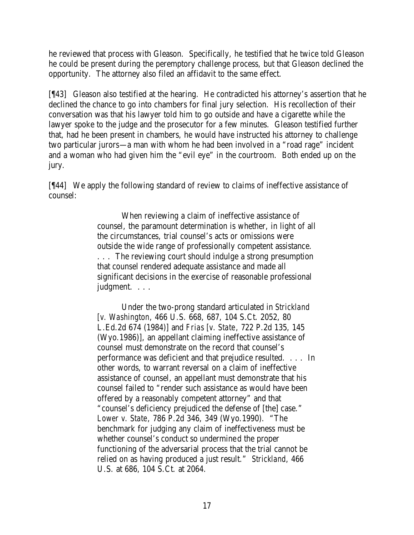he reviewed that process with Gleason. Specifically, he testified that he twice told Gleason he could be present during the peremptory challenge process, but that Gleason declined the opportunity. The attorney also filed an affidavit to the same effect.

[¶43] Gleason also testified at the hearing. He contradicted his attorney's assertion that he declined the chance to go into chambers for final jury selection. His recollection of their conversation was that his lawyer told him to go outside and have a cigarette while the lawyer spoke to the judge and the prosecutor for a few minutes. Gleason testified further that, had he been present in chambers, he would have instructed his attorney to challenge two particular jurors—a man with whom he had been involved in a "road rage" incident and a woman who had given him the "evil eye" in the courtroom. Both ended up on the jury.

[¶44] We apply the following standard of review to claims of ineffective assistance of counsel:

> When reviewing a claim of ineffective assistance of counsel, the paramount determination is whether, in light of all the circumstances, trial counsel's acts or omissions were outside the wide range of professionally competent assistance. . . . The reviewing court should indulge a strong presumption that counsel rendered adequate assistance and made all significant decisions in the exercise of reasonable professional judgment. . . .

> Under the two-prong standard articulated in *Strickland [v. Washington*, 466 U.S. 668, 687, 104 S.Ct. 2052, 80 L.Ed.2d 674 (1984)] and *Frias [v. State*, 722 P.2d 135, 145 (Wyo.1986)], an appellant claiming ineffective assistance of counsel must demonstrate on the record that counsel's performance was deficient and that prejudice resulted. . . . In other words, to warrant reversal on a claim of ineffective assistance of counsel, an appellant must demonstrate that his counsel failed to "render such assistance as would have been offered by a reasonably competent attorney" and that "counsel's deficiency prejudiced the defense of [the] case." *Lower v. State*, 786 P.2d 346, 349 (Wyo.1990). "The benchmark for judging any claim of ineffectiveness must be whether counsel's conduct so undermined the proper functioning of the adversarial process that the trial cannot be relied on as having produced a just result." *Strickland*, 466 U.S. at 686, 104 S.Ct. at 2064.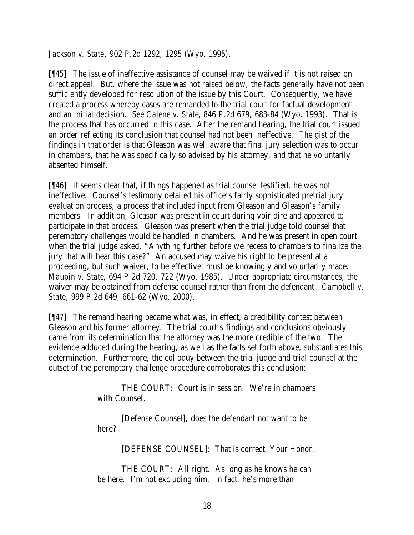*Jackson v. State*, 902 P.2d 1292, 1295 (Wyo. 1995).

[¶45] The issue of ineffective assistance of counsel may be waived if it is not raised on direct appeal. But, where the issue was not raised below, the facts generally have not been sufficiently developed for resolution of the issue by this Court. Consequently, we have created a process whereby cases are remanded to the trial court for factual development and an initial decision. *See Calene v. State*, 846 P.2d 679, 683-84 (Wyo. 1993). That is the process that has occurred in this case. After the remand hearing, the trial court issued an order reflecting its conclusion that counsel had not been ineffective. The gist of the findings in that order is that Gleason was well aware that final jury selection was to occur in chambers, that he was specifically so advised by his attorney, and that he voluntarily absented himself.

[¶46] It seems clear that, if things happened as trial counsel testified, he was not ineffective. Counsel's testimony detailed his office's fairly sophisticated pretrial jury evaluation process, a process that included input from Gleason and Gleason's family members. In addition, Gleason was present in court during voir dire and appeared to participate in that process. Gleason was present when the trial judge told counsel that peremptory challenges would be handled in chambers. And he was present in open court when the trial judge asked, "Anything further before we recess to chambers to finalize the jury that will hear this case?" An accused may waive his right to be present at a proceeding, but such waiver, to be effective, must be knowingly and voluntarily made. *Maupin v. State*, 694 P.2d 720, 722 (Wyo. 1985). Under appropriate circumstances, the waiver may be obtained from defense counsel rather than from the defendant. *Campbell v. State*, 999 P.2d 649, 661-62 (Wyo. 2000).

[¶47] The remand hearing became what was, in effect, a credibility contest between Gleason and his former attorney. The trial court's findings and conclusions obviously came from its determination that the attorney was the more credible of the two. The evidence adduced during the hearing, as well as the facts set forth above, substantiates this determination. Furthermore, the colloquy between the trial judge and trial counsel at the outset of the peremptory challenge procedure corroborates this conclusion:

> THE COURT: Court is in session. We're in chambers with Counsel.

[Defense Counsel], does the defendant not want to be here?

[DEFENSE COUNSEL]: That is correct, Your Honor.

THE COURT: All right. As long as he knows he can be here. I'm not excluding him. In fact, he's more than